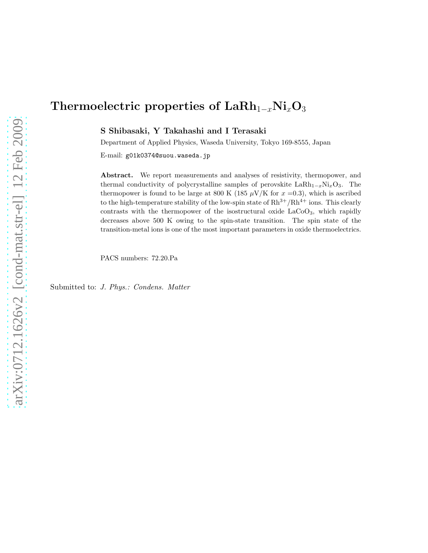# Thermoelectric properties of  $\text{LaRh}_{1-x}\text{Ni}_x\text{O}_3$

S Shibasaki, Y Takahashi and I Terasaki

Department of Applied Physics, Waseda University, Tokyo 169-8555, Japan E-mail: g01k0374@suou.waseda.jp

Abstract. We report measurements and analyses of resistivity, thermopower, and thermal conductivity of polycrystalline samples of perovskite La $Rh_{1-x}Ni_xO_3$ . The thermopower is found to be large at 800 K (185  $\mu$ V/K for  $x = 0.3$ ), which is ascribed to the high-temperature stability of the low-spin state of  $Rh^{3+}/Rh^{4+}$  ions. This clearly contrasts with the thermopower of the isostructural oxide  $LaCoO<sub>3</sub>$ , which rapidly decreases above 500 K owing to the spin-state transition. The spin state of the transition-metal ions is one of the most important parameters in oxide thermoelectrics.

PACS numbers: 72.20.Pa

Submitted to: *J. Phys.: Condens. Matter*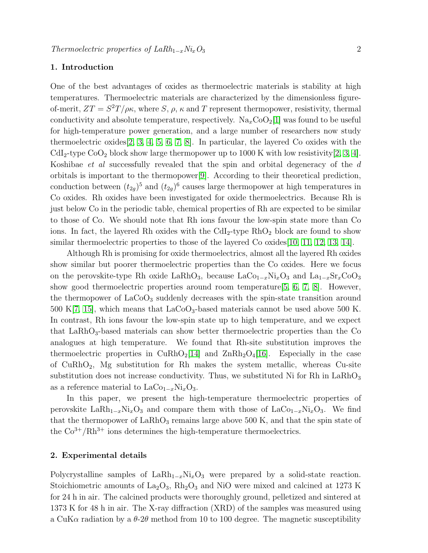# 1. Introduction

One of the best advantages of oxides as thermoelectric materials is stability at high temperatures. Thermoelectric materials are characterized by the dimensionless figureof-merit,  $ZT = S^2T/\rho\kappa$ , where S,  $\rho$ ,  $\kappa$  and T represent thermopower, resistivity, thermal conductivity and absolute temperature, respectively.  $\text{Na}_x\text{CoO}_2[1]$  $\text{Na}_x\text{CoO}_2[1]$  was found to be useful for high-temperature power generation, and a large number of researchers now study thermoelectric oxides[\[2,](#page-7-1) [3,](#page-7-2) [4,](#page-7-3) [5,](#page-7-4) [6,](#page-7-5) [7,](#page-7-6) [8\]](#page-7-7). In particular, the layered Co oxides with the CdI<sub>2</sub>-type CoO<sub>2</sub> block show large thermopower up to 1000 K with low resistivity[\[2,](#page-7-1) [3,](#page-7-2) [4\]](#page-7-3). Koshibae et al successfully revealed that the spin and orbital degeneracy of the d orbitals is important to the thermopower[\[9\]](#page-7-8). According to their theoretical prediction, conduction between  $(t_{2g})^5$  and  $(t_{2g})^6$  causes large thermopower at high temperatures in Co oxides. Rh oxides have been investigated for oxide thermoelectrics. Because Rh is just below Co in the periodic table, chemical properties of Rh are expected to be similar to those of Co. We should note that Rh ions favour the low-spin state more than Co ions. In fact, the layered Rh oxides with the  $CdI<sub>2</sub>$ -type  $RhO<sub>2</sub>$  block are found to show similar thermoelectric properties to those of the layered Co oxides [\[10,](#page-7-9) [11,](#page-7-10) [12,](#page-7-11) [13,](#page-7-12) [14\]](#page-7-13).

Although Rh is promising for oxide thermoelectrics, almost all the layered Rh oxides show similar but poorer thermoelectric properties than the Co oxides. Here we focus on the perovskite-type Rh oxide LaRhO<sub>3</sub>, because LaCo<sub>1-x</sub>Ni<sub>x</sub>O<sub>3</sub> and La<sub>1-x</sub>Sr<sub>x</sub>CoO<sub>3</sub> show good thermoelectric properties around room temperature[\[5,](#page-7-4) [6,](#page-7-5) [7,](#page-7-6) [8\]](#page-7-7). However, the thermopower of  $LaCoO<sub>3</sub>$  suddenly decreases with the spin-state transition around 500 K[\[7,](#page-7-6) [15\]](#page-7-14), which means that  $LaCoO<sub>3</sub>$ -based materials cannot be used above 500 K. In contrast, Rh ions favour the low-spin state up to high temperature, and we expect that LaRhO3-based materials can show better thermoelectric properties than the Co analogues at high temperature. We found that Rh-site substitution improves the thermoelectric properties in  $\text{CuRhO}_2[14]$  $\text{CuRhO}_2[14]$  and  $\text{ZnRh}_2\text{O}_4[16]$  $\text{ZnRh}_2\text{O}_4[16]$ . Especially in the case of  $CuRhO<sub>2</sub>$ , Mg substitution for Rh makes the system metallic, whereas Cu-site substitution does not increase conductivity. Thus, we substituted Ni for Rh in  $\text{LaRhO}_3$ as a reference material to  $LaCo_{1-x}Ni_xO_3$ .

In this paper, we present the high-temperature thermoelectric properties of perovskite La $Rh_{1-x}Ni_xO_3$  and compare them with those of LaCo<sub>1−x</sub>Ni<sub>x</sub>O<sub>3</sub>. We find that the thermopower of  $LaRhO<sub>3</sub>$  remains large above 500 K, and that the spin state of the  $Co^{3+}/Rh^{3+}$  ions determines the high-temperature thermoelectrics.

#### 2. Experimental details

Polycrystalline samples of La $Rh_{1-x}Ni_xO_3$  were prepared by a solid-state reaction. Stoichiometric amounts of  $La_2O_3$ ,  $Rh_2O_3$  and NiO were mixed and calcined at 1273 K for 24 h in air. The calcined products were thoroughly ground, pelletized and sintered at 1373 K for 48 h in air. The X-ray diffraction (XRD) of the samples was measured using a CuK $\alpha$  radiation by a  $\theta$ -2 $\theta$  method from 10 to 100 degree. The magnetic susceptibility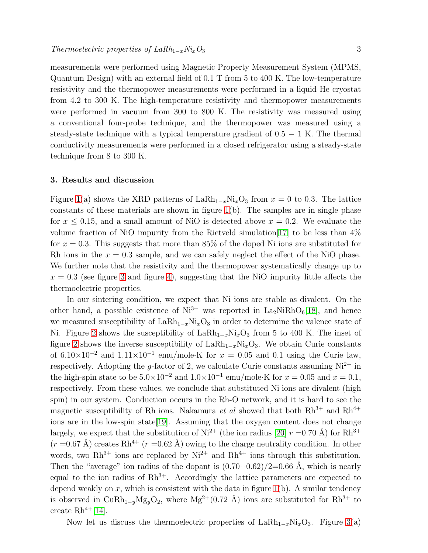measurements were performed using Magnetic Property Measurement System (MPMS, Quantum Design) with an external field of 0.1 T from 5 to 400 K. The low-temperature resistivity and the thermopower measurements were performed in a liquid He cryostat from 4.2 to 300 K. The high-temperature resistivity and thermopower measurements were performed in vacuum from 300 to 800 K. The resistivity was measured using a conventional four-probe technique, and the thermopower was measured using a steady-state technique with a typical temperature gradient of  $0.5 - 1$  K. The thermal conductivity measurements were performed in a closed refrigerator using a steady-state technique from 8 to 300 K.

#### 3. Results and discussion

Figure [1\(](#page-3-0)a) shows the XRD patterns of La $Rh_{1-x}Ni_xO_3$  from  $x = 0$  to 0.3. The lattice constants of these materials are shown in figure [1\(](#page-3-0)b). The samples are in single phase for  $x \leq 0.15$ , and a small amount of NiO is detected above  $x = 0.2$ . We evaluate the volume fraction of NiO impurity from the Rietveld simulation  $[17]$  to be less than  $4\%$ for  $x = 0.3$ . This suggests that more than 85% of the doped Ni ions are substituted for Rh ions in the  $x = 0.3$  sample, and we can safely neglect the effect of the NiO phase. We further note that the resistivity and the thermopower systematically change up to  $x = 0.3$  (see figure [3](#page-5-0) and figure [4\)](#page-5-1), suggesting that the NiO impurity little affects the thermoelectric properties.

In our sintering condition, we expect that Ni ions are stable as divalent. On the other hand, a possible existence of  $Ni^{3+}$  was reported in  $La_2NiRhO_6[18]$  $La_2NiRhO_6[18]$ , and hence we measured susceptibility of  $\text{LaRh}_{1-x}\text{Ni}_x\text{O}_3$  in order to determine the valence state of Ni. Figure [2](#page-3-1) shows the susceptibility of  $\text{LaRh}_{1-x}\text{Ni}_x\text{O}_3$  from 5 to 400 K. The inset of figure [2](#page-3-1) shows the inverse susceptibility of LaRh<sub>1-x</sub>Ni<sub>x</sub>O<sub>3</sub>. We obtain Curie constants of 6.10×10<sup>-2</sup> and  $1.11\times10^{-1}$  emu/mole·K for  $x=0.05$  and 0.1 using the Curie law, respectively. Adopting the q-factor of 2, we calculate Curie constants assuming  $Ni^{2+}$  in the high-spin state to be  $5.0 \times 10^{-2}$  and  $1.0 \times 10^{-1}$  emu/mole·K for  $x = 0.05$  and  $x = 0.1$ , respectively. From these values, we conclude that substituted Ni ions are divalent (high spin) in our system. Conduction occurs in the Rh-O network, and it is hard to see the magnetic susceptibility of Rh ions. Nakamura *et al* showed that both  $Rh^{3+}$  and  $Rh^{4+}$ ions are in the low-spin state[\[19\]](#page-7-18). Assuming that the oxygen content does not change largely, we expect that the substitution of  $Ni^{2+}$  (the ion radius [\[20\]](#page-7-19)  $r = 0.70 \text{ Å}$ ) for  $Rh^{3+}$  $(r=0.67 \text{ Å})$  creates Rh<sup>4+</sup>  $(r=0.62 \text{ Å})$  owing to the charge neutrality condition. In other words, two  $Rh^{3+}$  ions are replaced by  $Ni^{2+}$  and  $Rh^{4+}$  ions through this substitution. Then the "average" ion radius of the dopant is  $(0.70+0.62)/2=0.66$  Å, which is nearly equal to the ion radius of  $Rh^{3+}$ . Accordingly the lattice parameters are expected to depend weakly on  $x$ , which is consistent with the data in figure [1\(](#page-3-0)b). A similar tendency is observed in CuRh<sub>1−y</sub>Mg<sub>y</sub>O<sub>2</sub>, where Mg<sup>2+</sup>(0.72 Å) ions are substituted for Rh<sup>3+</sup> to create  $Rh^{4+}[14]$  $Rh^{4+}[14]$ .

Now let us discuss the thermoelectric properties of La $Rh_{1-x}Ni_xO_3$ . Figure [3\(](#page-5-0)a)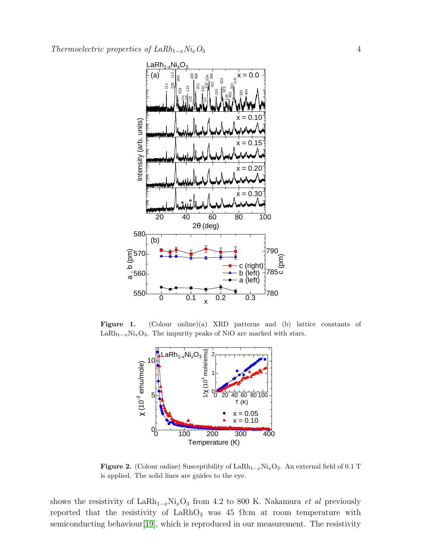

Figure 1. (Colour online)(a) XRD patterns and (b) lattice constants of LaRh<sub>1-x</sub>Ni<sub>x</sub>O<sub>3</sub>. The impurity peaks of NiO are marked with stars.

<span id="page-3-0"></span>

<span id="page-3-1"></span>Figure 2. (Colour online) Susceptibility of La $Rh_{1-x}Ni_xO_3$ . An external field of 0.1 T is applied. The solid lines are guides to the eye.

shows the resistivity of La $Rh_{1-x}Ni_xO_3$  from 4.2 to 800 K. Nakamura *et al* previously reported that the resistivity of  $\text{LaRhO}_3$  was 45  $\Omega$ cm at room temperature with semiconducting behaviour [\[19\]](#page-7-18), which is reproduced in our measurement. The resistivity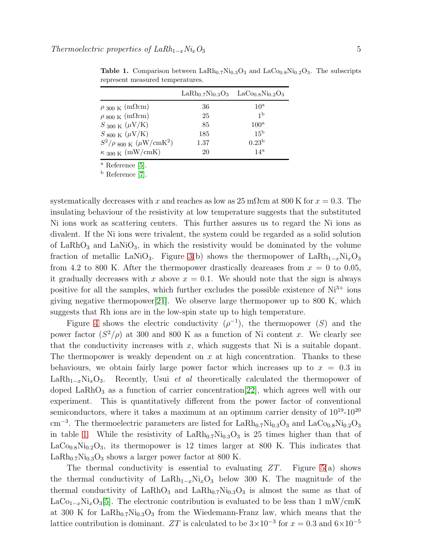|                                                         | $LaRh0.7Ni0.3O3$ $LaCo0.8Ni0.2O3$ |                   |
|---------------------------------------------------------|-----------------------------------|-------------------|
| $\rho$ $_{300~\rm K}$ (mΩcm)                            | 36                                | 10 <sup>a</sup>   |
| $\rho$ 800 K (m $\Omega$ cm)                            | 25                                | 1 <sub>p</sub>    |
| $S_{300 \text{ K}}$ ( $\mu$ V/K)                        | 85                                | 100 <sup>a</sup>  |
| $S_{\rm 800\;K}$ ( $\mu$ V/K)                           | 185                               | $15^{\rm b}$      |
| $S^2/\rho_{800 \text{ K}}$ ( $\mu$ W/cmK <sup>2</sup> ) | 1.37                              | 0.23 <sup>b</sup> |
| $\kappa$ $_{300~\rm K}$ (mW/cmK)                        | 20                                | $14^{\rm a}$      |

<span id="page-4-0"></span>**Table 1.** Comparison between LaRh<sub>0.7</sub>Ni<sub>0.3</sub>O<sub>3</sub> and LaCo<sub>0.8</sub>Ni<sub>0.2</sub>O<sub>3</sub>. The subscripts represent measured temperatures.

<sup>a</sup> Reference [\[5\]](#page-7-4).

<sup>b</sup> Reference [\[7\]](#page-7-6).

systematically decreases with x and reaches as low as  $25 \text{ m}\Omega\text{cm}$  at  $800 \text{ K}$  for  $x = 0.3$ . The insulating behaviour of the resistivity at low temperature suggests that the substituted Ni ions work as scattering centers. This further assures us to regard the Ni ions as divalent. If the Ni ions were trivalent, the system could be regarded as a solid solution of  $LaRhO<sub>3</sub>$  and  $LaNiO<sub>3</sub>$ , in which the resistivity would be dominated by the volume fraction of metallic LaNiO<sub>3</sub>. Figure [3\(](#page-5-0)b) shows the thermopower of LaRh<sub>1-x</sub>Ni<sub>x</sub>O<sub>3</sub> from 4.2 to 800 K. After the thermopower drastically deareases from  $x = 0$  to 0.05, it gradually decreases with x above  $x = 0.1$ . We should note that the sign is always positive for all the samples, which further excludes the possible existence of  $Ni^{3+}$  ions giving negative thermopower [\[21\]](#page-7-20). We observe large thermopower up to 800 K, which suggests that Rh ions are in the low-spin state up to high temperature.

Figure [4](#page-5-1) shows the electric conductivity  $(\rho^{-1})$ , the thermopower (S) and the power factor  $(S^2/\rho)$  at 300 and 800 K as a function of Ni content x. We clearly see that the conductivity increases with  $x$ , which suggests that Ni is a suitable dopant. The thermopower is weakly dependent on  $x$  at high concentration. Thanks to these behaviours, we obtain fairly large power factor which increases up to  $x = 0.3$  in LaRh<sub>1-x</sub>Ni<sub>x</sub>O<sub>3</sub>. Recently, Usui *et al* theoretically calculated the thermopower of doped LaRh $O_3$  as a function of carrier concentration [\[22\]](#page-7-21), which agrees well with our experiment. This is quantitatively different from the power factor of conventional semiconductors, where it takes a maximum at an optimum carrier density of  $10^{19}$ - $10^{20}$ cm<sup>-3</sup>. The thermoelectric parameters are listed for La $Rh_{0.7}Ni_{0.3}O_3$  and LaCo<sub>0.8</sub>Ni<sub>0.2</sub>O<sub>3</sub> in table [1.](#page-4-0) While the resistivity of  $\text{LaRh}_{0.7}\text{Ni}_{0.3}\text{O}_3$  is 25 times higher than that of  $LaCo<sub>0.8</sub>Ni<sub>0.2</sub>O<sub>3</sub>$ , its thermopower is 12 times larger at 800 K. This indicates that  $\text{LaRh}_{0.7}\text{Ni}_{0.3}\text{O}_3$  shows a larger power factor at 800 K.

The thermal conductivity is essential to evaluating  $ZT$ . Figure [5\(](#page-6-0)a) shows the thermal conductivity of La $Rh_{1-x}Ni_xO_3$  below 300 K. The magnitude of the thermal conductivity of  $\text{LaRhO}_3$  and  $\text{LaRh}_{0.7}\text{Ni}_{0.3}\text{O}_3$  is almost the same as that of LaCo<sub>1−x</sub>Ni<sub>x</sub>O<sub>3</sub>[\[5\]](#page-7-4). The electronic contribution is evaluated to be less than 1 mW/cmK at 300 K for  $\text{LaRh}_{0.7}\text{Ni}_{0.3}\text{O}_3$  from the Wiedemann-Franz law, which means that the lattice contribution is dominant.  $ZT$  is calculated to be  $3 \times 10^{-3}$  for  $x = 0.3$  and  $6 \times 10^{-5}$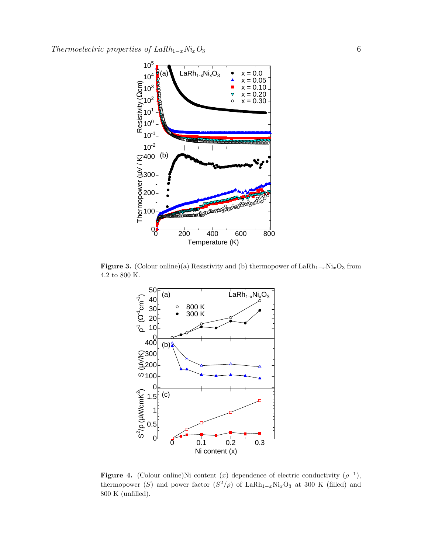

Figure 3. (Colour online)(a) Resistivity and (b) thermopower of LaRh<sub>1-x</sub>Ni<sub>x</sub>O<sub>3</sub> from 4.2 to 800 K.

<span id="page-5-0"></span>

<span id="page-5-1"></span>**Figure 4.** (Colour online)Ni content (x) dependence of electric conductivity  $(\rho^{-1})$ , thermopower (S) and power factor  $(S^2/\rho)$  of LaRh<sub>1-x</sub>Ni<sub>x</sub>O<sub>3</sub> at 300 K (filled) and 800 K (unfilled).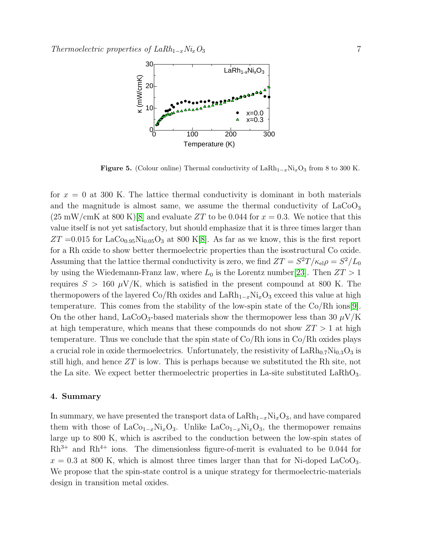

<span id="page-6-0"></span>Figure 5. (Colour online) Thermal conductivity of LaRh<sub>1-x</sub>Ni<sub>x</sub>O<sub>3</sub> from 8 to 300 K.

for  $x = 0$  at 300 K. The lattice thermal conductivity is dominant in both materials and the magnitude is almost same, we assume the thermal conductivity of  $LaCoO<sub>3</sub>$  $(25 \text{ mW/cmK at } 800 \text{ K})[8]$  $(25 \text{ mW/cmK at } 800 \text{ K})[8]$  and evaluate ZT to be 0.044 for  $x = 0.3$ . We notice that this value itself is not yet satisfactory, but should emphasize that it is three times larger than  $ZT = 0.015$  for LaC<sub>0.95</sub>Ni<sub>0.05</sub>O<sub>3</sub> at 800 K[\[8\]](#page-7-7). As far as we know, this is the first report for a Rh oxide to show better thermoelectric properties than the isostructural Co oxide. Assuming that the lattice thermal conductivity is zero, we find  $ZT = S^2T/\kappa_{\rm el}\rho = S^2/L_0$ by using the Wiedemann-Franz law, where  $L_0$  is the Lorentz number[\[23\]](#page-7-22). Then  $ZT > 1$ requires  $S > 160 \mu \text{V/K}$ , which is satisfied in the present compound at 800 K. The thermopowers of the layered Co/Rh oxides and  $\text{LaRh}_{1-x}\text{Ni}_x\text{O}_3$  exceed this value at high temperature. This comes from the stability of the low-spin state of the Co/Rh ions[\[9\]](#page-7-8). On the other hand, LaCoO<sub>3</sub>-based materials show the thermopower less than 30  $\mu$ V/K at high temperature, which means that these compounds do not show  $ZT > 1$  at high temperature. Thus we conclude that the spin state of Co/Rh ions in Co/Rh oxides plays a crucial role in oxide thermoelectrics. Unfortunately, the resistivity of  $\text{LaRh}_{0.7}\text{Ni}_{0.3}\text{O}_3$  is still high, and hence  $ZT$  is low. This is perhaps because we substituted the Rh site, not the La site. We expect better thermoelectric properties in La-site substituted  $\text{LaRhO}_3$ .

### 4. Summary

In summary, we have presented the transport data of  $\text{LaRh}_{1-x}\text{Ni}_x\text{O}_3$ , and have compared them with those of LaCo<sub>1−x</sub>Ni<sub>x</sub>O<sub>3</sub>. Unlike LaCo<sub>1−x</sub>Ni<sub>x</sub>O<sub>3</sub>, the thermopower remains large up to 800 K, which is ascribed to the conduction between the low-spin states of  $Rh^{3+}$  and  $Rh^{4+}$  ions. The dimensionless figure-of-merit is evaluated to be 0.044 for  $x = 0.3$  at 800 K, which is almost three times larger than that for Ni-doped LaCoO<sub>3</sub>. We propose that the spin-state control is a unique strategy for thermoelectric-materials design in transition metal oxides.